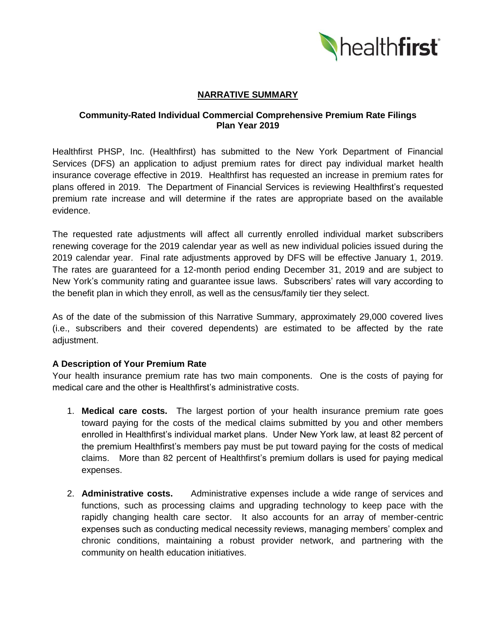

## **NARRATIVE SUMMARY**

### **Community-Rated Individual Commercial Comprehensive Premium Rate Filings Plan Year 2019**

Healthfirst PHSP, Inc. (Healthfirst) has submitted to the New York Department of Financial Services (DFS) an application to adjust premium rates for direct pay individual market health insurance coverage effective in 2019. Healthfirst has requested an increase in premium rates for plans offered in 2019. The Department of Financial Services is reviewing Healthfirst's requested premium rate increase and will determine if the rates are appropriate based on the available evidence.

The requested rate adjustments will affect all currently enrolled individual market subscribers renewing coverage for the 2019 calendar year as well as new individual policies issued during the 2019 calendar year. Final rate adjustments approved by DFS will be effective January 1, 2019. The rates are guaranteed for a 12-month period ending December 31, 2019 and are subject to New York's community rating and guarantee issue laws. Subscribers' rates will vary according to the benefit plan in which they enroll, as well as the census/family tier they select.

As of the date of the submission of this Narrative Summary, approximately 29,000 covered lives (i.e., subscribers and their covered dependents) are estimated to be affected by the rate adjustment.

## **A Description of Your Premium Rate**

Your health insurance premium rate has two main components. One is the costs of paying for medical care and the other is Healthfirst's administrative costs.

- 1. **Medical care costs.** The largest portion of your health insurance premium rate goes toward paying for the costs of the medical claims submitted by you and other members enrolled in Healthfirst's individual market plans. Under New York law, at least 82 percent of the premium Healthfirst's members pay must be put toward paying for the costs of medical claims. More than 82 percent of Healthfirst's premium dollars is used for paying medical expenses.
- 2. **Administrative costs.** Administrative expenses include a wide range of services and functions, such as processing claims and upgrading technology to keep pace with the rapidly changing health care sector. It also accounts for an array of member-centric expenses such as conducting medical necessity reviews, managing members' complex and chronic conditions, maintaining a robust provider network, and partnering with the community on health education initiatives.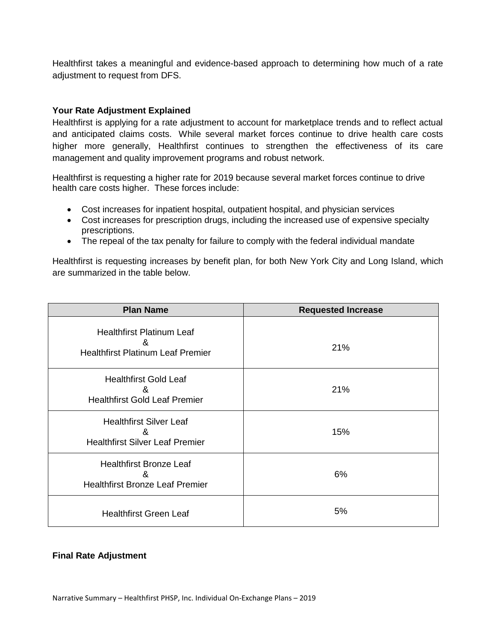Healthfirst takes a meaningful and evidence-based approach to determining how much of a rate adjustment to request from DFS.

# **Your Rate Adjustment Explained**

Healthfirst is applying for a rate adjustment to account for marketplace trends and to reflect actual and anticipated claims costs. While several market forces continue to drive health care costs higher more generally, Healthfirst continues to strengthen the effectiveness of its care management and quality improvement programs and robust network.

Healthfirst is requesting a higher rate for 2019 because several market forces continue to drive health care costs higher. These forces include:

- Cost increases for inpatient hospital, outpatient hospital, and physician services
- Cost increases for prescription drugs, including the increased use of expensive specialty prescriptions.
- The repeal of the tax penalty for failure to comply with the federal individual mandate

Healthfirst is requesting increases by benefit plan, for both New York City and Long Island, which are summarized in the table below.

| <b>Plan Name</b>                                                                  | <b>Requested Increase</b> |
|-----------------------------------------------------------------------------------|---------------------------|
| <b>Healthfirst Platinum Leaf</b><br>&<br><b>Healthfirst Platinum Leaf Premier</b> | 21%                       |
| <b>Healthfirst Gold Leaf</b><br>&<br><b>Healthfirst Gold Leaf Premier</b>         | 21%                       |
| <b>Healthfirst Silver Leaf</b><br>&<br><b>Healthfirst Silver Leaf Premier</b>     | 15%                       |
| <b>Healthfirst Bronze Leaf</b><br>&<br><b>Healthfirst Bronze Leaf Premier</b>     | 6%                        |
| <b>Healthfirst Green Leaf</b>                                                     | 5%                        |

## **Final Rate Adjustment**